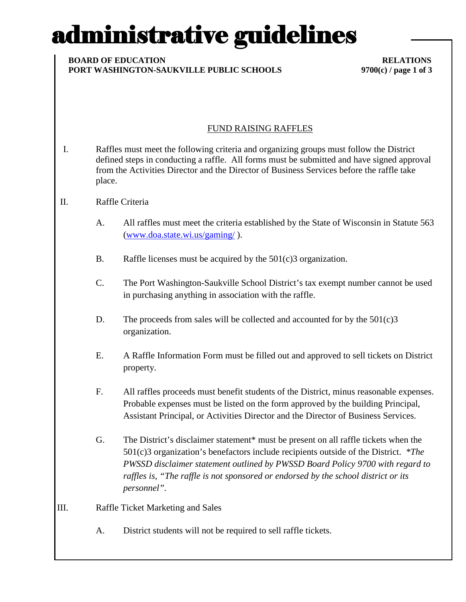# administrative guidelines

#### **BOARD OF EDUCATION RELATIONS PORT WASHINGTON-SAUKVILLE PUBLIC SCHOOLS 9700(c) / page 1 of 3**

### FUND RAISING RAFFLES

I. Raffles must meet the following criteria and organizing groups must follow the District defined steps in conducting a raffle. All forms must be submitted and have signed approval from the Activities Director and the Director of Business Services before the raffle take place.

### II. Raffle Criteria

- A. All raffles must meet the criteria established by the State of Wisconsin in Statute 563 (www.doa.state.wi.us/gaming/ ).
- B. Raffle licenses must be acquired by the 501(c)3 organization.
- C. The Port Washington-Saukville School District's tax exempt number cannot be used in purchasing anything in association with the raffle.
- D. The proceeds from sales will be collected and accounted for by the 501(c)3 organization.
- E. A Raffle Information Form must be filled out and approved to sell tickets on District property.
- F. All raffles proceeds must benefit students of the District, minus reasonable expenses. Probable expenses must be listed on the form approved by the building Principal, Assistant Principal, or Activities Director and the Director of Business Services.
- G. The District's disclaimer statement\* must be present on all raffle tickets when the 501(c)3 organization's benefactors include recipients outside of the District. *\*The PWSSD disclaimer statement outlined by PWSSD Board Policy 9700 with regard to raffles is, "The raffle is not sponsored or endorsed by the school district or its personnel".*
- III. Raffle Ticket Marketing and Sales
	- A. District students will not be required to sell raffle tickets.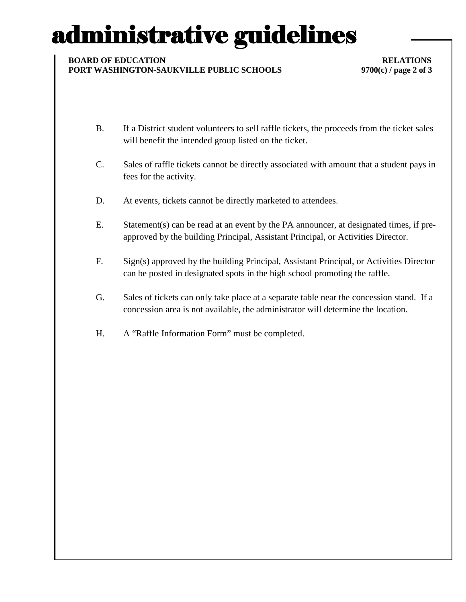# administrative guidelines

### **BOARD OF EDUCATION RELATIONS PORT WASHINGTON-SAUKVILLE PUBLIC SCHOOLS 9700(c) / page 2 of 3**

- B. If a District student volunteers to sell raffle tickets, the proceeds from the ticket sales will benefit the intended group listed on the ticket.
- C. Sales of raffle tickets cannot be directly associated with amount that a student pays in fees for the activity.
- D. At events, tickets cannot be directly marketed to attendees.
- E. Statement(s) can be read at an event by the PA announcer, at designated times, if preapproved by the building Principal, Assistant Principal, or Activities Director.
- F. Sign(s) approved by the building Principal, Assistant Principal, or Activities Director can be posted in designated spots in the high school promoting the raffle.
- G. Sales of tickets can only take place at a separate table near the concession stand. If a concession area is not available, the administrator will determine the location.
- H. A "Raffle Information Form" must be completed.